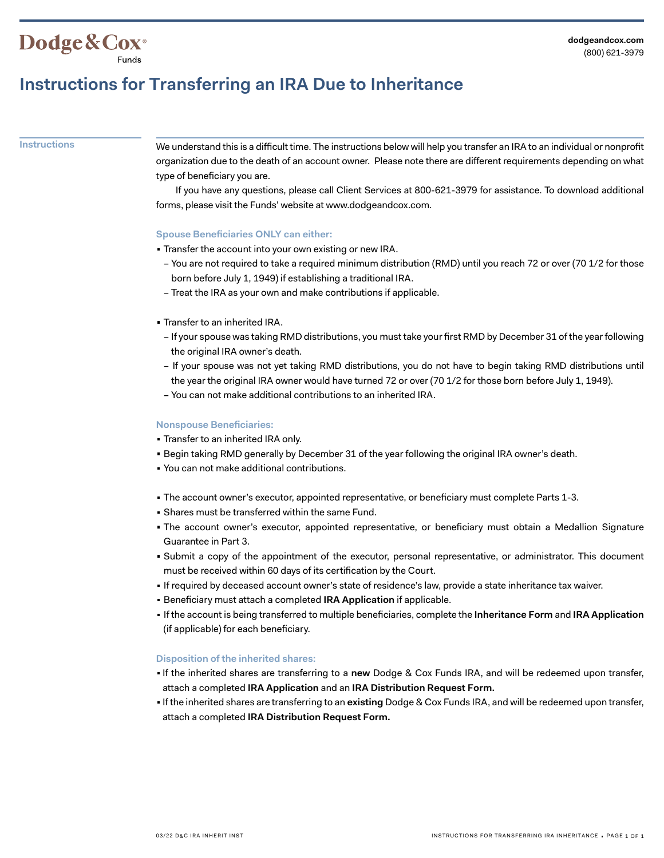## **Instructions for Transferring an IRA Due to Inheritance**

Dodge & Cox<sup>®</sup>

**Instructions** We understand this is a difficult time. The instructions below will help you transfer an IRA to an individual or nonprofit organization due to the death of an account owner. Please note there are different requirements depending on what type of beneficiary you are.

> If you have any questions, please call Client Services at 800-621-3979 for assistance. To download additional forms, please visit the Funds' website at www.dodgeandcox.com.

#### **Spouse Beneficiaries ONLY can either:**

- Transfer the account into your own existing or new IRA.
- You are not required to take a required minimum distribution (RMD) until you reach 72 or over (70 1/2 for those born before July 1, 1949) if establishing a traditional IRA.
- Treat the IRA as your own and make contributions if applicable.
- Transfer to an inherited IRA.
	- If your spouse was taking RMD distributions, you must take your first RMD by December 31 of the year following the original IRA owner's death.
	- If your spouse was not yet taking RMD distributions, you do not have to begin taking RMD distributions until the year the original IRA owner would have turned 72 or over (70 1/2 for those born before July 1, 1949).
- You can not make additional contributions to an inherited IRA.

### **Nonspouse Beneficiaries:**

- Transfer to an inherited IRA only.
- Begin taking RMD generally by December 31 of the year following the original IRA owner's death.
- You can not make additional contributions.
- The account owner's executor, appointed representative, or beneficiary must complete Parts 1-3.
- Shares must be transferred within the same Fund.
- The account owner's executor, appointed representative, or beneficiary must obtain a Medallion Signature Guarantee in Part 3.
- Submit a copy of the appointment of the executor, personal representative, or administrator. This document must be received within 60 days of its certification by the Court.
- If required by deceased account owner's state of residence's law, provide a state inheritance tax waiver.
- Beneficiary must attach a completed **IRA Application** if applicable.
- If the account is being transferred to multiple beneficiaries, complete the **Inheritance Form** and **IRA Application** (if applicable) for each beneficiary.

#### **Disposition of the inherited shares:**

- If the inherited shares are transferring to a **new** Dodge & Cox Funds IRA, and will be redeemed upon transfer, attach a completed **IRA Application** and an **IRA Distribution Request Form.**
- If the inherited shares are transferring to an **existing** Dodge & Cox Funds IRA, and will be redeemed upon transfer, attach a completed **IRA Distribution Request Form.**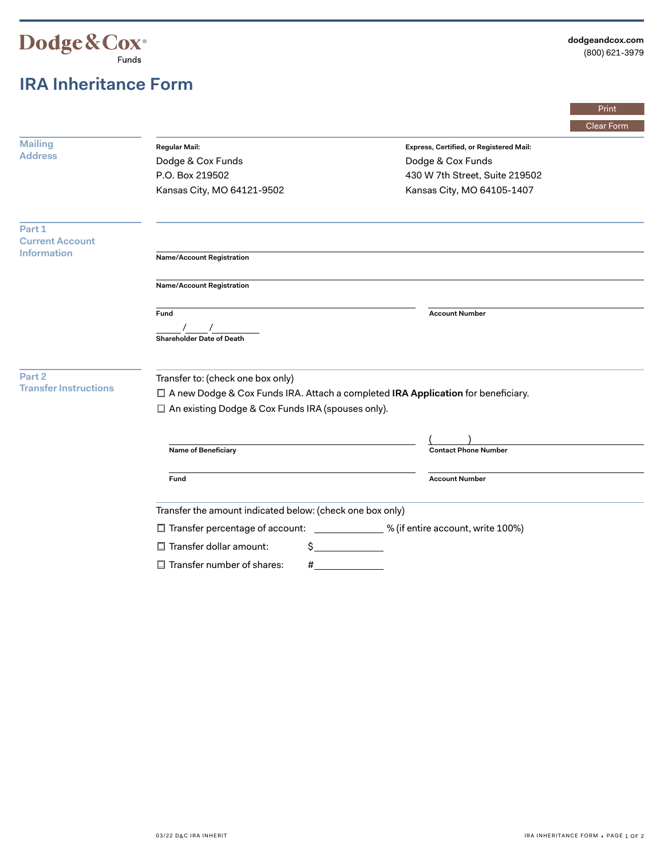

# **IRA Inheritance Form**

|                                                        |                                                                                    |                                         | Print      |  |
|--------------------------------------------------------|------------------------------------------------------------------------------------|-----------------------------------------|------------|--|
|                                                        |                                                                                    |                                         | Clear Form |  |
| <b>Mailing</b><br><b>Address</b>                       | <b>Regular Mail:</b>                                                               | Express, Certified, or Registered Mail: |            |  |
|                                                        | Dodge & Cox Funds                                                                  | Dodge & Cox Funds                       |            |  |
|                                                        | P.O. Box 219502                                                                    | 430 W 7th Street, Suite 219502          |            |  |
|                                                        | Kansas City, MO 64121-9502                                                         | Kansas City, MO 64105-1407              |            |  |
| Part 1<br><b>Current Account</b><br><b>Information</b> |                                                                                    |                                         |            |  |
|                                                        | <b>Name/Account Registration</b>                                                   |                                         |            |  |
|                                                        | Name/Account Registration                                                          |                                         |            |  |
|                                                        | Fund<br><b>Shareholder Date of Death</b>                                           | <b>Account Number</b>                   |            |  |
| Part 2<br><b>Transfer Instructions</b>                 | Transfer to: (check one box only)                                                  |                                         |            |  |
|                                                        | □ A new Dodge & Cox Funds IRA. Attach a completed IRA Application for beneficiary. |                                         |            |  |
|                                                        | □ An existing Dodge & Cox Funds IRA (spouses only).                                |                                         |            |  |
|                                                        |                                                                                    |                                         |            |  |
|                                                        | Name of Beneficiary                                                                | <b>Contact Phone Number</b>             |            |  |
|                                                        | Fund                                                                               | <b>Account Number</b>                   |            |  |
|                                                        | Transfer the amount indicated below: (check one box only)                          |                                         |            |  |
|                                                        | [100%] % (if entire account, write 100%)<br>Transfer percentage of account:        |                                         |            |  |
|                                                        | $\Box$ Transfer dollar amount:<br>Ś.                                               |                                         |            |  |
|                                                        | $\Box$ Transfer number of shares:<br>#                                             |                                         |            |  |